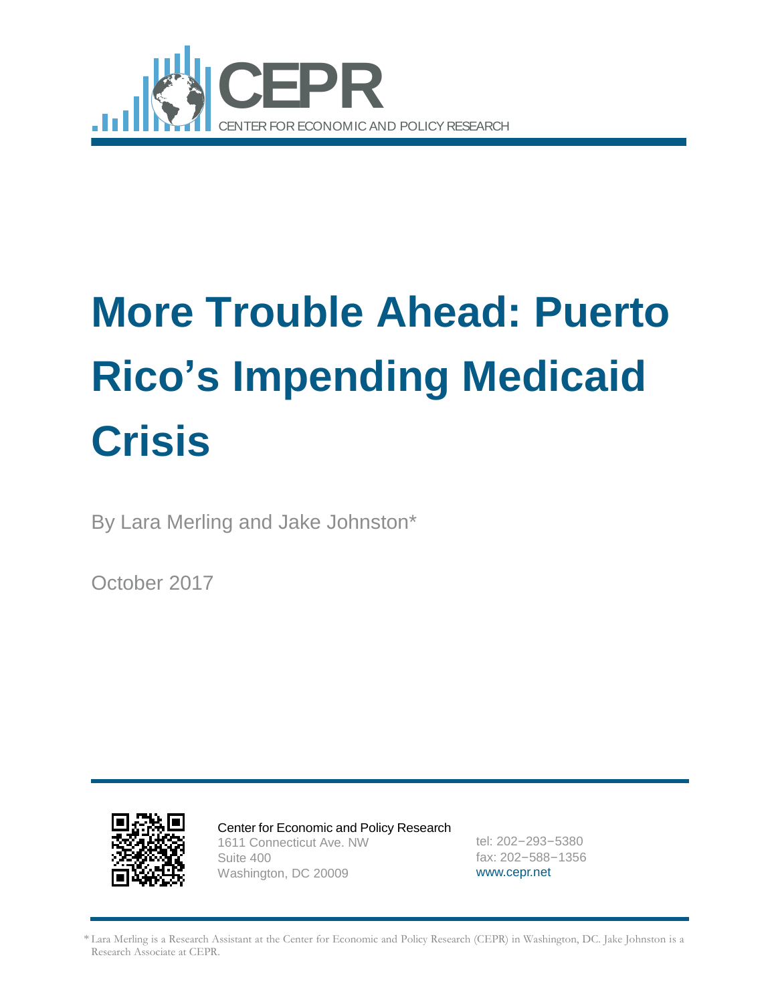

# **More Trouble Ahead: Puerto Rico's Impending Medicaid Crisis**

By Lara Merling and Jake Johnston\*

October 2017



Center for Economic and Policy Research 1611 Connecticut Ave. NW Suite 400 Washington, DC 20009

tel: 202–293–5380 fax: 202–588–1356 [www.cepr.net](http://www.cepr.net/)

\* Lara Merling is a Research Assistant at the Center for Economic and Policy Research (CEPR) in Washington, DC. Jake Johnston is a Research Associate at CEPR.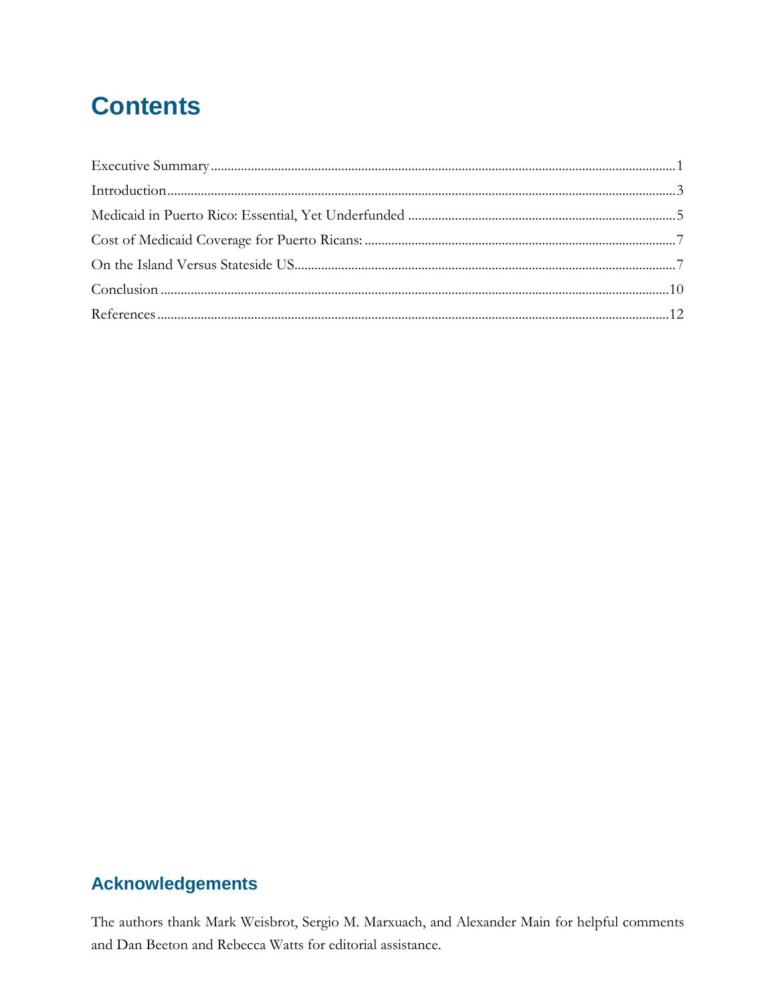## **Contents**

| $Introduction                         3$ |
|------------------------------------------|
|                                          |
|                                          |
|                                          |
|                                          |
|                                          |
|                                          |

#### **Acknowledgements**

The authors thank Mark Weisbrot, Sergio M. Marxuach, and Alexander Main for helpful comments and Dan Beeton and Rebecca Watts for editorial assistance.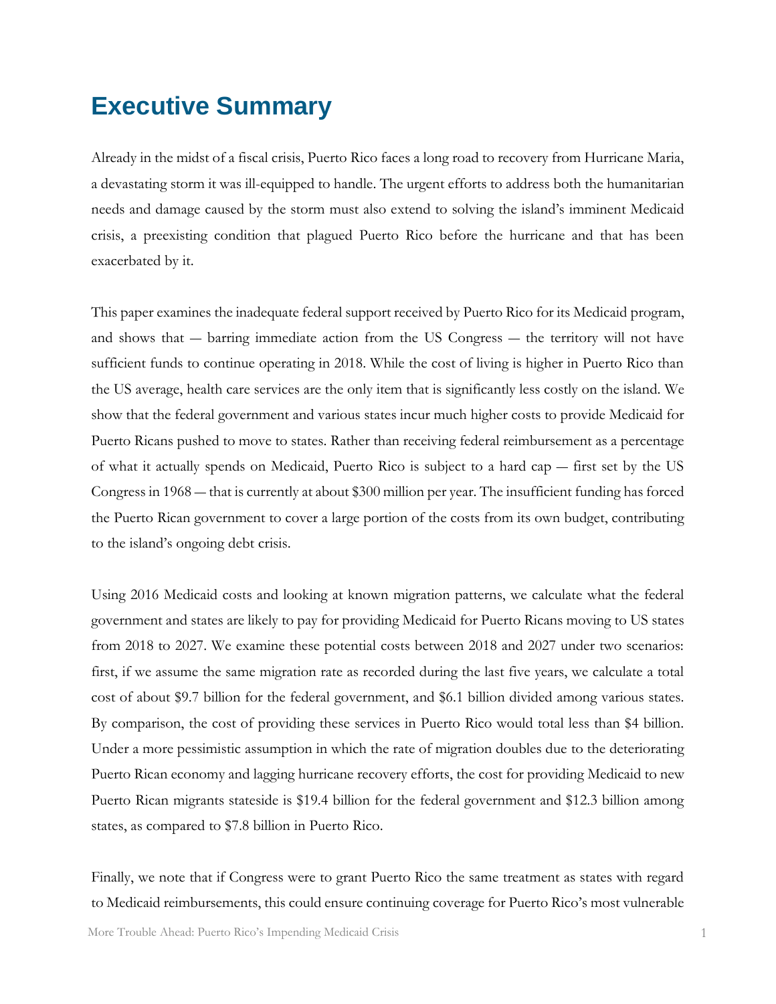#### <span id="page-2-0"></span>**Executive Summary**

Already in the midst of a fiscal crisis, Puerto Rico faces a long road to recovery from Hurricane Maria, a devastating storm it was ill-equipped to handle. The urgent efforts to address both the humanitarian needs and damage caused by the storm must also extend to solving the island's imminent Medicaid crisis, a preexisting condition that plagued Puerto Rico before the hurricane and that has been exacerbated by it.

This paper examines the inadequate federal support received by Puerto Rico for its Medicaid program, and shows that ― barring immediate action from the US Congress ― the territory will not have sufficient funds to continue operating in 2018. While the cost of living is higher in Puerto Rico than the US average, health care services are the only item that is significantly less costly on the island. We show that the federal government and various states incur much higher costs to provide Medicaid for Puerto Ricans pushed to move to states. Rather than receiving federal reimbursement as a percentage of what it actually spends on Medicaid, Puerto Rico is subject to a hard cap ― first set by the US Congress in 1968 ― that is currently at about \$300 million per year. The insufficient funding has forced the Puerto Rican government to cover a large portion of the costs from its own budget, contributing to the island's ongoing debt crisis.

Using 2016 Medicaid costs and looking at known migration patterns, we calculate what the federal government and states are likely to pay for providing Medicaid for Puerto Ricans moving to US states from 2018 to 2027. We examine these potential costs between 2018 and 2027 under two scenarios: first, if we assume the same migration rate as recorded during the last five years, we calculate a total cost of about \$9.7 billion for the federal government, and \$6.1 billion divided among various states. By comparison, the cost of providing these services in Puerto Rico would total less than \$4 billion. Under a more pessimistic assumption in which the rate of migration doubles due to the deteriorating Puerto Rican economy and lagging hurricane recovery efforts, the cost for providing Medicaid to new Puerto Rican migrants stateside is \$19.4 billion for the federal government and \$12.3 billion among states, as compared to \$7.8 billion in Puerto Rico.

Finally, we note that if Congress were to grant Puerto Rico the same treatment as states with regard to Medicaid reimbursements, this could ensure continuing coverage for Puerto Rico's most vulnerable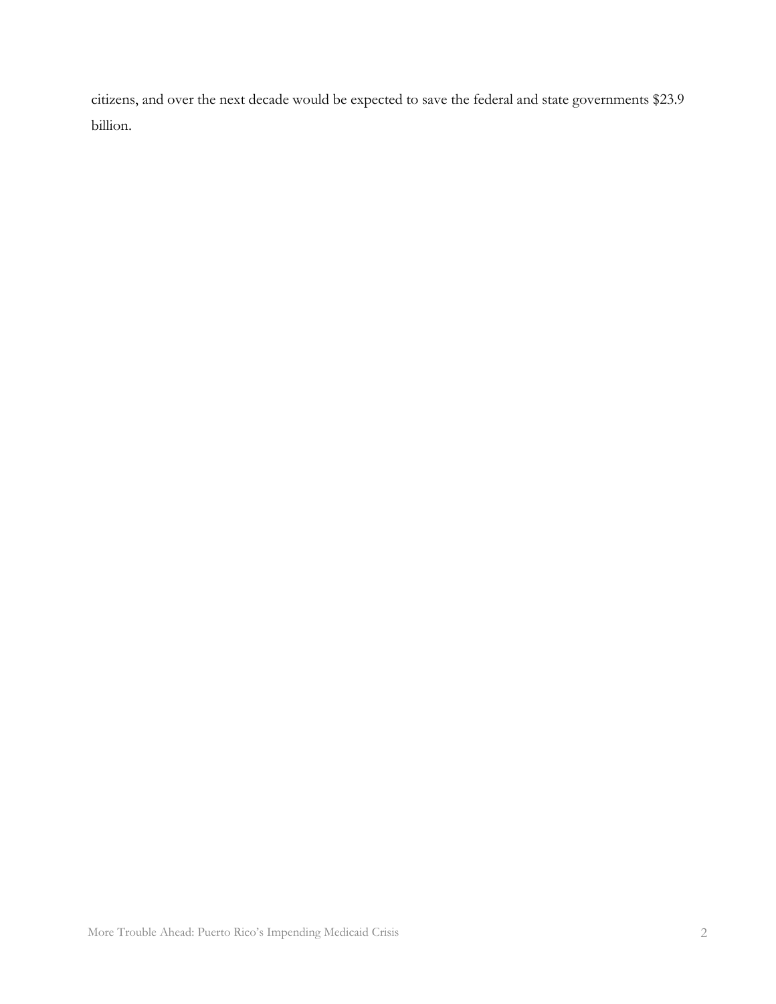citizens, and over the next decade would be expected to save the federal and state governments \$23.9 billion.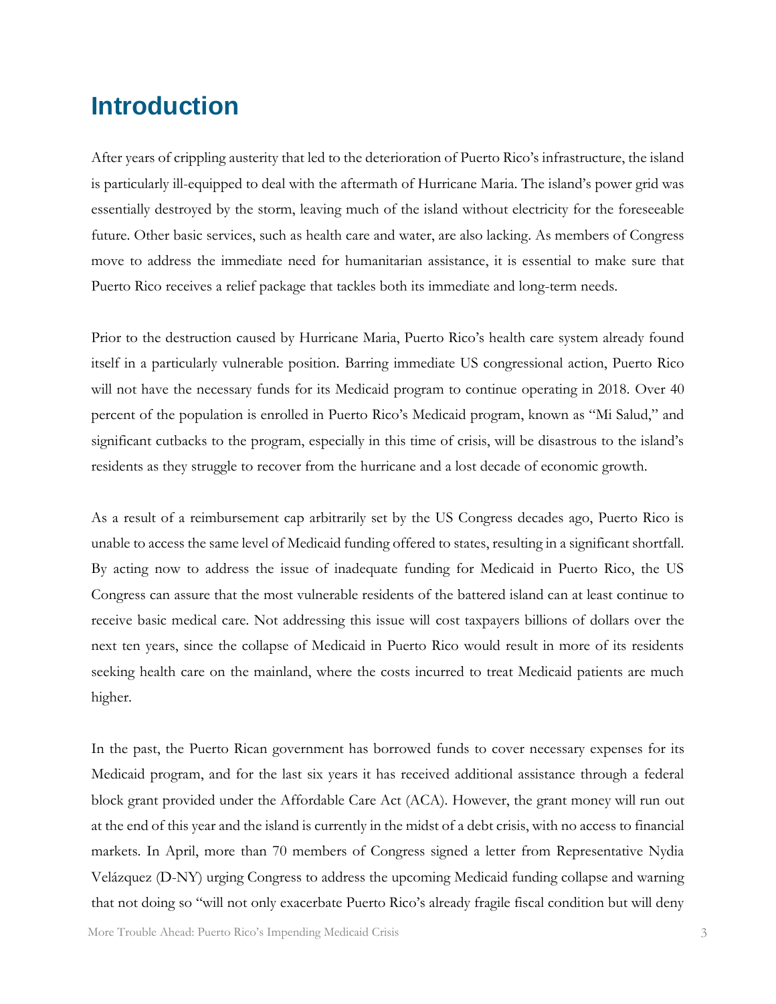#### <span id="page-4-0"></span>**Introduction**

After years of crippling austerity that led to the deterioration of Puerto Rico's infrastructure, the island is particularly ill-equipped to deal with the aftermath of Hurricane Maria. The island's power grid was essentially destroyed by the storm, leaving much of the island without electricity for the foreseeable future. Other basic services, such as health care and water, are also lacking. As members of Congress move to address the immediate need for humanitarian assistance, it is essential to make sure that Puerto Rico receives a relief package that tackles both its immediate and long-term needs.

Prior to the destruction caused by Hurricane Maria, Puerto Rico's health care system already found itself in a particularly vulnerable position. Barring immediate US congressional action, Puerto Rico will not have the necessary funds for its Medicaid program to continue operating in 2018. Over 40 percent of the population is enrolled in Puerto Rico's Medicaid program, known as "Mi Salud," and significant cutbacks to the program, especially in this time of crisis, will be disastrous to the island's residents as they struggle to recover from the hurricane and a lost decade of economic growth.

As a result of a reimbursement cap arbitrarily set by the US Congress decades ago, Puerto Rico is unable to access the same level of Medicaid funding offered to states, resulting in a significant shortfall. By acting now to address the issue of inadequate funding for Medicaid in Puerto Rico, the US Congress can assure that the most vulnerable residents of the battered island can at least continue to receive basic medical care. Not addressing this issue will cost taxpayers billions of dollars over the next ten years, since the collapse of Medicaid in Puerto Rico would result in more of its residents seeking health care on the mainland, where the costs incurred to treat Medicaid patients are much higher.

In the past, the Puerto Rican government has borrowed funds to cover necessary expenses for its Medicaid program, and for the last six years it has received additional assistance through a federal block grant provided under the Affordable Care Act (ACA). However, the grant money will run out at the end of this year and the island is currently in the midst of a debt crisis, with no access to financial markets. In April, more than 70 members of Congress signed a letter from Representative Nydia Velázquez (D-NY) urging Congress to address the upcoming Medicaid funding collapse and warning that not doing so "will not only exacerbate Puerto Rico's already fragile fiscal condition but will deny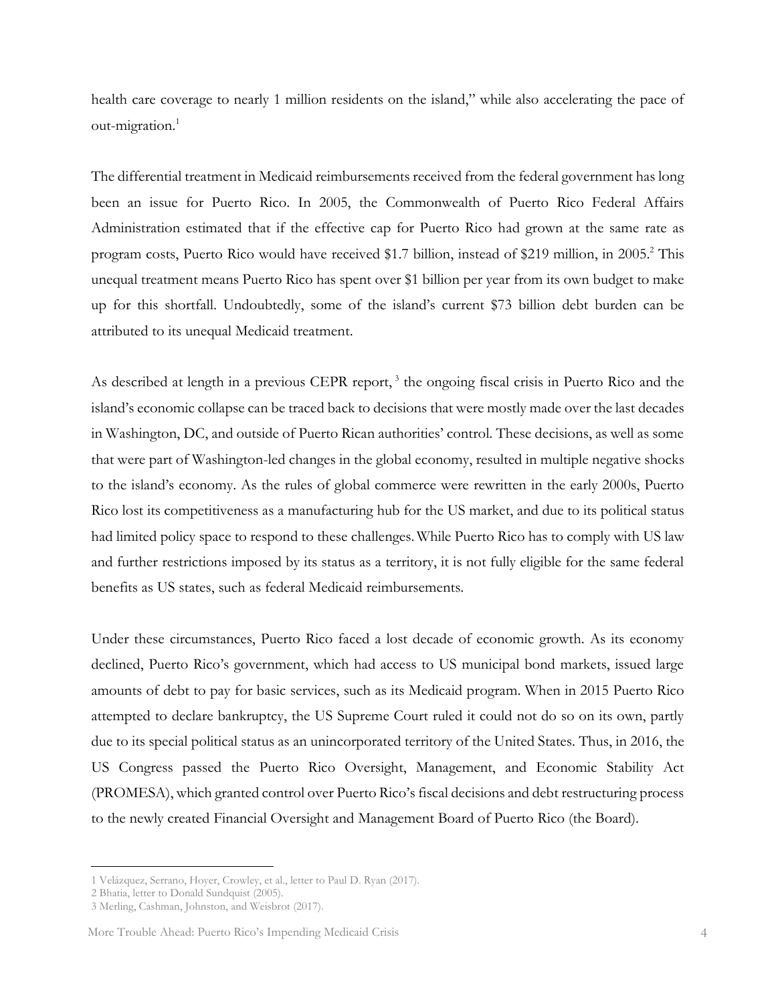health care coverage to nearly 1 million residents on the island," while also accelerating the pace of out-migration.<sup>1</sup>

The differential treatment in Medicaid reimbursements received from the federal government has long been an issue for Puerto Rico. In 2005, the Commonwealth of Puerto Rico Federal Affairs Administration estimated that if the effective cap for Puerto Rico had grown at the same rate as program costs, Puerto Rico would have received \$1.7 billion, instead of \$219 million, in 2005.<sup>2</sup> This unequal treatment means Puerto Rico has spent over \$1 billion per year from its own budget to make up for this shortfall. Undoubtedly, some of the island's current \$73 billion debt burden can be attributed to its unequal Medicaid treatment.

As described at length in a previous CEPR report,<sup>3</sup> the ongoing fiscal crisis in Puerto Rico and the island's economic collapse can be traced back to decisions that were mostly made over the last decades in Washington, DC, and outside of Puerto Rican authorities' control. These decisions, as well as some that were part of Washington-led changes in the global economy, resulted in multiple negative shocks to the island's economy. As the rules of global commerce were rewritten in the early 2000s, Puerto Rico lost its competitiveness as a manufacturing hub for the US market, and due to its political status had limited policy space to respond to these challenges.While Puerto Rico has to comply with US law and further restrictions imposed by its status as a territory, it is not fully eligible for the same federal benefits as US states, such as federal Medicaid reimbursements.

Under these circumstances, Puerto Rico faced a lost decade of economic growth. As its economy declined, Puerto Rico's government, which had access to US municipal bond markets, issued large amounts of debt to pay for basic services, such as its Medicaid program. When in 2015 Puerto Rico attempted to declare bankruptcy, the US Supreme Court ruled it could not do so on its own, partly due to its special political status as an unincorporated territory of the United States. Thus, in 2016, the US Congress passed the Puerto Rico Oversight, Management, and Economic Stability Act (PROMESA), which granted control over Puerto Rico's fiscal decisions and debt restructuring process to the newly created Financial Oversight and Management Board of Puerto Rico (the Board).

<sup>1</sup> Velázquez, Serrano, Hoyer, Crowley, et al., letter to Paul D. Ryan (2017).

<sup>2</sup> Bhatia, letter to Donald Sundquist (2005).

<sup>3</sup> Merling, Cashman, Johnston, and Weisbrot (2017).

More Trouble Ahead: Puerto Rico's Impending Medicaid Crisis 4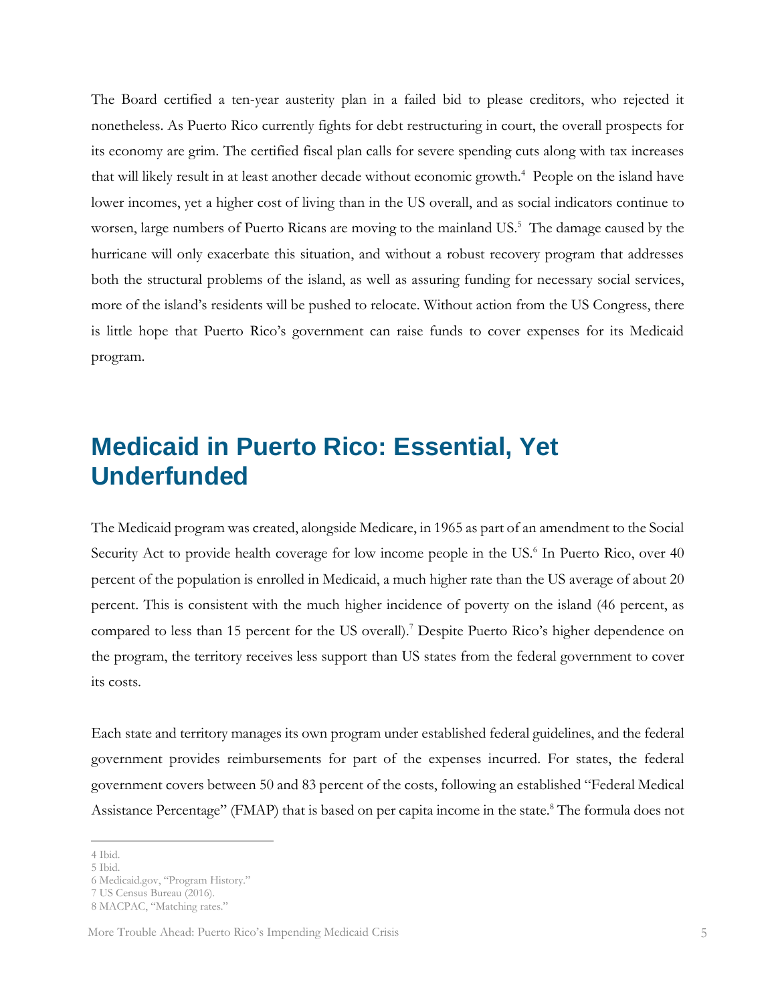The Board certified a ten-year austerity plan in a failed bid to please creditors, who rejected it nonetheless. As Puerto Rico currently fights for debt restructuring in court, the overall prospects for its economy are grim. The certified fiscal plan calls for severe spending cuts along with tax increases that will likely result in at least another decade without economic growth.<sup>4</sup> People on the island have lower incomes, yet a higher cost of living than in the US overall, and as social indicators continue to worsen, large numbers of Puerto Ricans are moving to the mainland US.<sup>5</sup> The damage caused by the hurricane will only exacerbate this situation, and without a robust recovery program that addresses both the structural problems of the island, as well as assuring funding for necessary social services, more of the island's residents will be pushed to relocate. Without action from the US Congress, there is little hope that Puerto Rico's government can raise funds to cover expenses for its Medicaid program.

#### <span id="page-6-0"></span>**Medicaid in Puerto Rico: Essential, Yet Underfunded**

The Medicaid program was created, alongside Medicare, in 1965 as part of an amendment to the Social Security Act to provide health coverage for low income people in the US.<sup>6</sup> In Puerto Rico, over 40 percent of the population is enrolled in Medicaid, a much higher rate than the US average of about 20 percent. This is consistent with the much higher incidence of poverty on the island (46 percent, as compared to less than 15 percent for the US overall).<sup>7</sup> Despite Puerto Rico's higher dependence on the program, the territory receives less support than US states from the federal government to cover its costs.

Each state and territory manages its own program under established federal guidelines, and the federal government provides reimbursements for part of the expenses incurred. For states, the federal government covers between 50 and 83 percent of the costs, following an established "Federal Medical Assistance Percentage" (FMAP) that is based on per capita income in the state.<sup>8</sup> The formula does not

<sup>4</sup> Ibid.

<sup>5</sup> Ibid.

<sup>6</sup> Medicaid.gov, "Program History."

<sup>7</sup> US Census Bureau (2016).

<sup>8</sup> MACPAC, "Matching rates."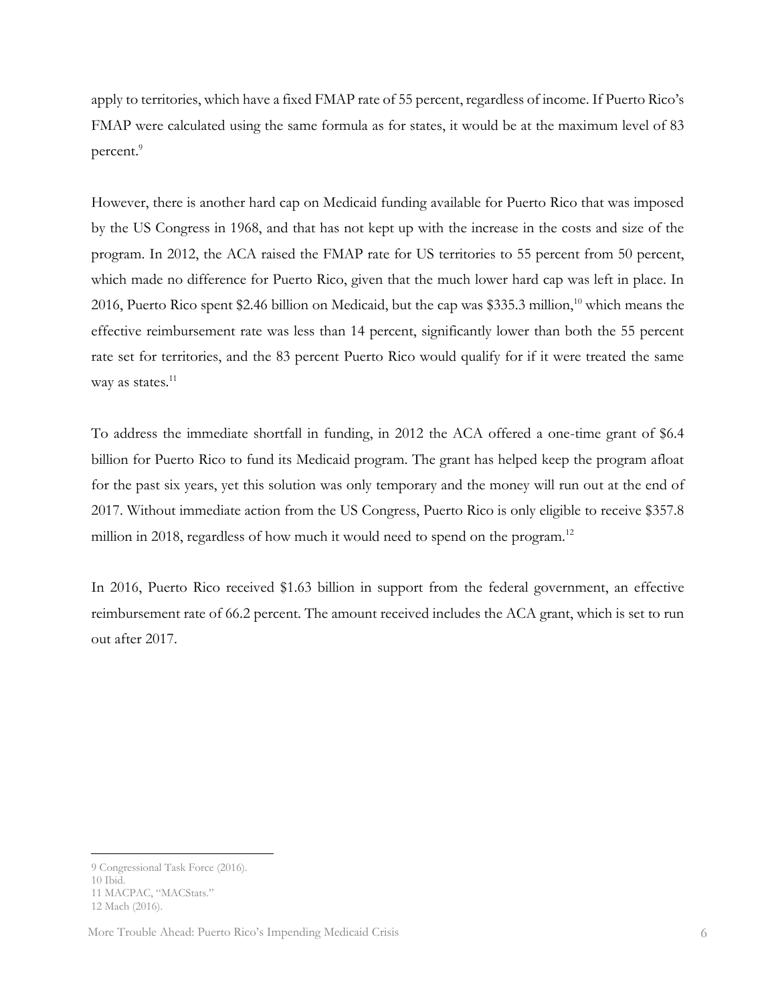apply to territories, which have a fixed FMAP rate of 55 percent, regardless of income. If Puerto Rico's FMAP were calculated using the same formula as for states, it would be at the maximum level of 83 percent.<sup>9</sup>

However, there is another hard cap on Medicaid funding available for Puerto Rico that was imposed by the US Congress in 1968, and that has not kept up with the increase in the costs and size of the program. In 2012, the ACA raised the FMAP rate for US territories to 55 percent from 50 percent, which made no difference for Puerto Rico, given that the much lower hard cap was left in place. In 2016, Puerto Rico spent \$2.46 billion on Medicaid, but the cap was \$335.3 million,<sup>10</sup> which means the effective reimbursement rate was less than 14 percent, significantly lower than both the 55 percent rate set for territories, and the 83 percent Puerto Rico would qualify for if it were treated the same way as states. $^{11}$ 

To address the immediate shortfall in funding, in 2012 the ACA offered a one-time grant of \$6.4 billion for Puerto Rico to fund its Medicaid program. The grant has helped keep the program afloat for the past six years, yet this solution was only temporary and the money will run out at the end of 2017. Without immediate action from the US Congress, Puerto Rico is only eligible to receive \$357.8 million in 2018, regardless of how much it would need to spend on the program.<sup>12</sup>

In 2016, Puerto Rico received \$1.63 billion in support from the federal government, an effective reimbursement rate of 66.2 percent. The amount received includes the ACA grant, which is set to run out after 2017.

<sup>9</sup> Congressional Task Force (2016).

<sup>10</sup> Ibid.

<sup>11</sup> MACPAC, "MACStats."

<sup>12</sup> Mach (2016).

More Trouble Ahead: Puerto Rico's Impending Medicaid Crisis 6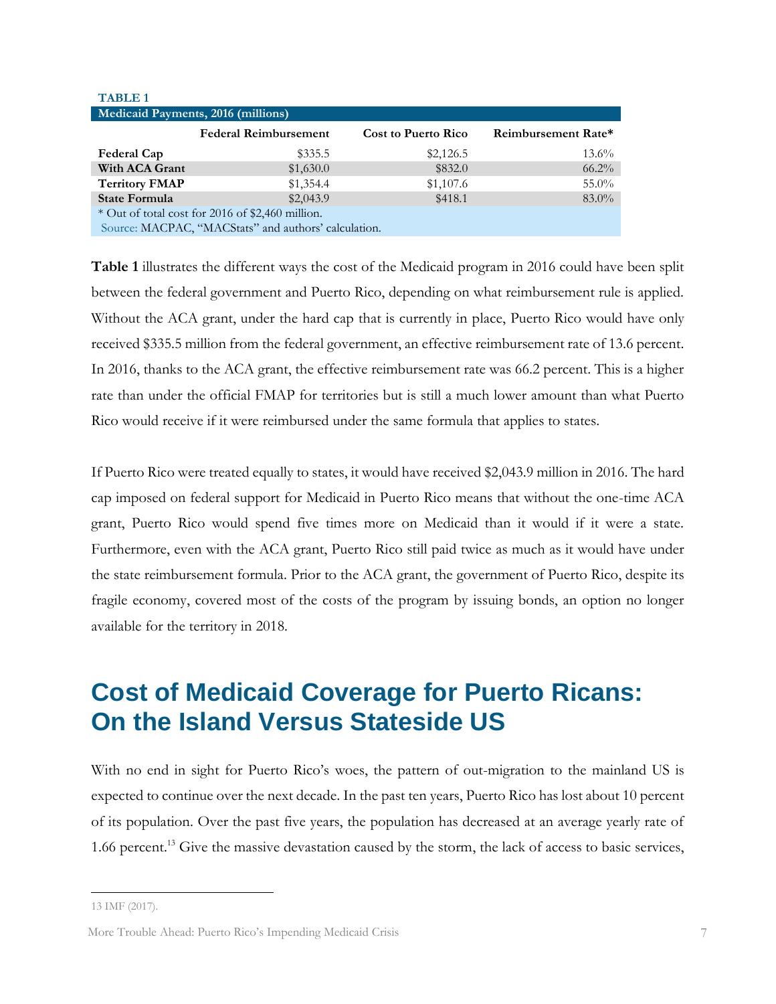| <b>TABLE 1</b>                                       |                              |                            |                     |  |  |  |  |
|------------------------------------------------------|------------------------------|----------------------------|---------------------|--|--|--|--|
| Medicaid Payments, 2016 (millions)                   |                              |                            |                     |  |  |  |  |
|                                                      | <b>Federal Reimbursement</b> | <b>Cost to Puerto Rico</b> | Reimbursement Rate* |  |  |  |  |
| Federal Cap                                          | \$335.5                      | \$2,126.5                  | $13.6\%$            |  |  |  |  |
| With ACA Grant                                       | \$1,630.0                    | \$832.0                    | $66.2\%$            |  |  |  |  |
| <b>Territory FMAP</b>                                | \$1,354.4                    | \$1,107.6                  | 55.0%               |  |  |  |  |
| <b>State Formula</b>                                 | \$2,043.9                    | \$418.1                    | $83.0\%$            |  |  |  |  |
| * Out of total cost for 2016 of \$2,460 million.     |                              |                            |                     |  |  |  |  |
| Source: MACPAC, "MACStats" and authors' calculation. |                              |                            |                     |  |  |  |  |

**Table 1** illustrates the different ways the cost of the Medicaid program in 2016 could have been split between the federal government and Puerto Rico, depending on what reimbursement rule is applied. Without the ACA grant, under the hard cap that is currently in place, Puerto Rico would have only received \$335.5 million from the federal government, an effective reimbursement rate of 13.6 percent. In 2016, thanks to the ACA grant, the effective reimbursement rate was 66.2 percent. This is a higher rate than under the official FMAP for territories but is still a much lower amount than what Puerto Rico would receive if it were reimbursed under the same formula that applies to states.

If Puerto Rico were treated equally to states, it would have received \$2,043.9 million in 2016. The hard cap imposed on federal support for Medicaid in Puerto Rico means that without the one-time ACA grant, Puerto Rico would spend five times more on Medicaid than it would if it were a state. Furthermore, even with the ACA grant, Puerto Rico still paid twice as much as it would have under the state reimbursement formula. Prior to the ACA grant, the government of Puerto Rico, despite its fragile economy, covered most of the costs of the program by issuing bonds, an option no longer available for the territory in 2018.

### <span id="page-8-1"></span><span id="page-8-0"></span>**Cost of Medicaid Coverage for Puerto Ricans: On the Island Versus Stateside US**

With no end in sight for Puerto Rico's woes, the pattern of out-migration to the mainland US is expected to continue over the next decade. In the past ten years, Puerto Rico has lost about 10 percent of its population. Over the past five years, the population has decreased at an average yearly rate of 1.66 percent.<sup>13</sup> Give the massive devastation caused by the storm, the lack of access to basic services,

<sup>13</sup> IMF (2017).

More Trouble Ahead: Puerto Rico's Impending Medicaid Crisis 7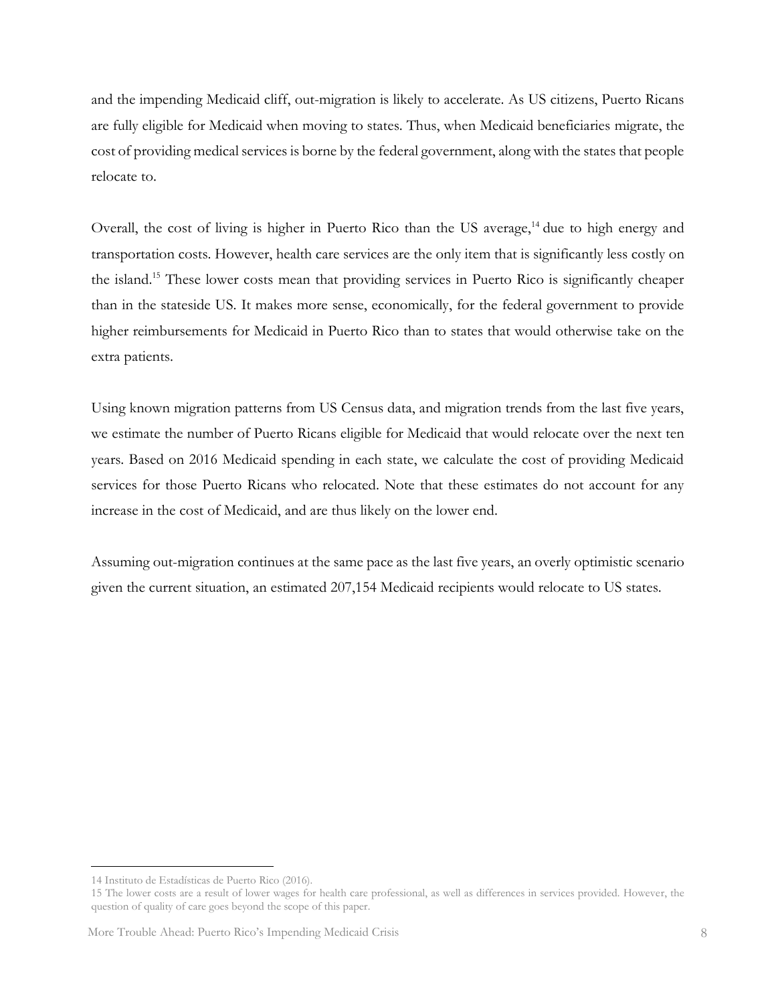and the impending Medicaid cliff, out-migration is likely to accelerate. As US citizens, Puerto Ricans are fully eligible for Medicaid when moving to states. Thus, when Medicaid beneficiaries migrate, the cost of providing medical services is borne by the federal government, along with the states that people relocate to.

Overall, the cost of living is higher in Puerto Rico than the US average, $14$  due to high energy and transportation costs. However, health care services are the only item that is significantly less costly on the island.<sup>15</sup> These lower costs mean that providing services in Puerto Rico is significantly cheaper than in the stateside US. It makes more sense, economically, for the federal government to provide higher reimbursements for Medicaid in Puerto Rico than to states that would otherwise take on the extra patients.

Using known migration patterns from US Census data, and migration trends from the last five years, we estimate the number of Puerto Ricans eligible for Medicaid that would relocate over the next ten years. Based on 2016 Medicaid spending in each state, we calculate the cost of providing Medicaid services for those Puerto Ricans who relocated. Note that these estimates do not account for any increase in the cost of Medicaid, and are thus likely on the lower end.

Assuming out-migration continues at the same pace as the last five years, an overly optimistic scenario given the current situation, an estimated 207,154 Medicaid recipients would relocate to US states.

<sup>14</sup> Instituto de Estadísticas de Puerto Rico (2016).

<sup>15</sup> The lower costs are a result of lower wages for health care professional, as well as differences in services provided. However, the question of quality of care goes beyond the scope of this paper.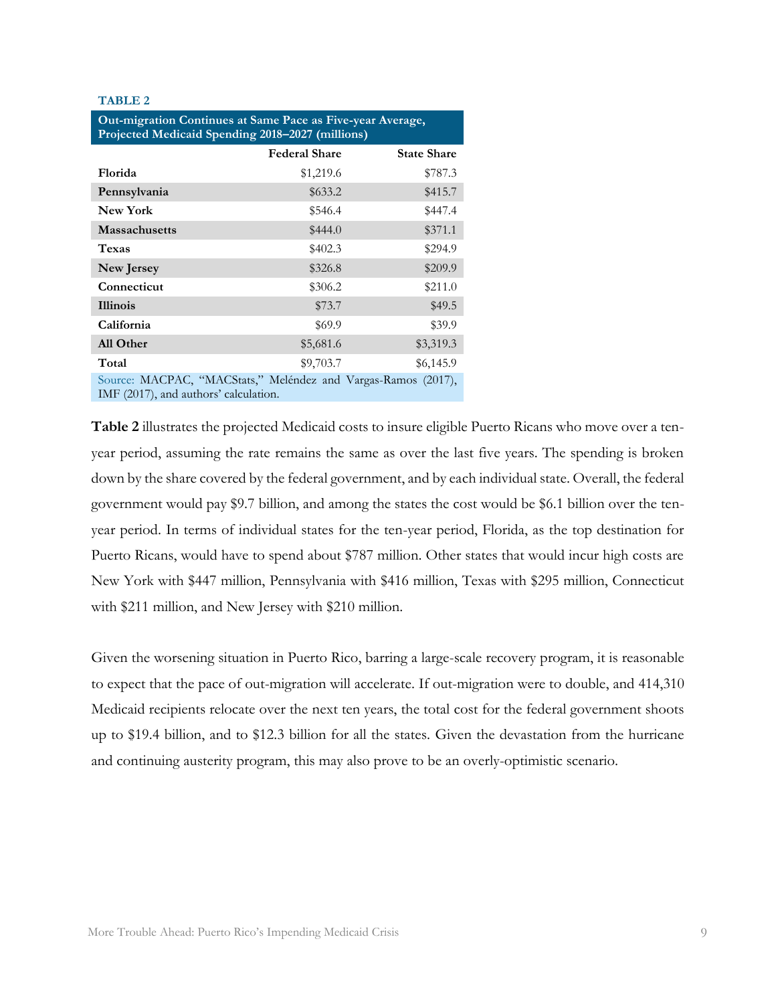#### **TABLE 2**

| Out-migration Continues at Same Pace as Five-year Average,<br>Projected Medicaid Spending 2018-2027 (millions) |                      |                    |  |  |  |
|----------------------------------------------------------------------------------------------------------------|----------------------|--------------------|--|--|--|
|                                                                                                                | <b>Federal Share</b> | <b>State Share</b> |  |  |  |
| Florida                                                                                                        | \$1,219.6            | \$787.3            |  |  |  |
| Pennsylvania                                                                                                   | \$633.2              | \$415.7            |  |  |  |
| <b>New York</b>                                                                                                | \$546.4              | \$447.4            |  |  |  |
| <b>Massachusetts</b>                                                                                           | \$444.0              | \$371.1            |  |  |  |
| <b>Texas</b>                                                                                                   | \$402.3              | \$294.9            |  |  |  |
| New Jersey                                                                                                     | \$326.8              | \$209.9            |  |  |  |
| Connecticut                                                                                                    | \$306.2              | \$211.0            |  |  |  |
| <b>Illinois</b>                                                                                                | \$73.7               | \$49.5             |  |  |  |
| California                                                                                                     | \$69.9               | \$39.9             |  |  |  |
| All Other                                                                                                      | \$5,681.6            | \$3,319.3          |  |  |  |
| Total                                                                                                          | \$9,703.7            | \$6,145.9          |  |  |  |
| Source: MACPAC, "MACStats," Meléndez and Vargas-Ramos<br>(2017),<br>IMF (2017), and authors' calculation.      |                      |                    |  |  |  |

**Table 2** illustrates the projected Medicaid costs to insure eligible Puerto Ricans who move over a tenyear period, assuming the rate remains the same as over the last five years. The spending is broken down by the share covered by the federal government, and by each individual state. Overall, the federal government would pay \$9.7 billion, and among the states the cost would be \$6.1 billion over the tenyear period. In terms of individual states for the ten-year period, Florida, as the top destination for Puerto Ricans, would have to spend about \$787 million. Other states that would incur high costs are New York with \$447 million, Pennsylvania with \$416 million, Texas with \$295 million, Connecticut with \$211 million, and New Jersey with \$210 million.

Given the worsening situation in Puerto Rico, barring a large-scale recovery program, it is reasonable to expect that the pace of out-migration will accelerate. If out-migration were to double, and 414,310 Medicaid recipients relocate over the next ten years, the total cost for the federal government shoots up to \$19.4 billion, and to \$12.3 billion for all the states. Given the devastation from the hurricane and continuing austerity program, this may also prove to be an overly-optimistic scenario.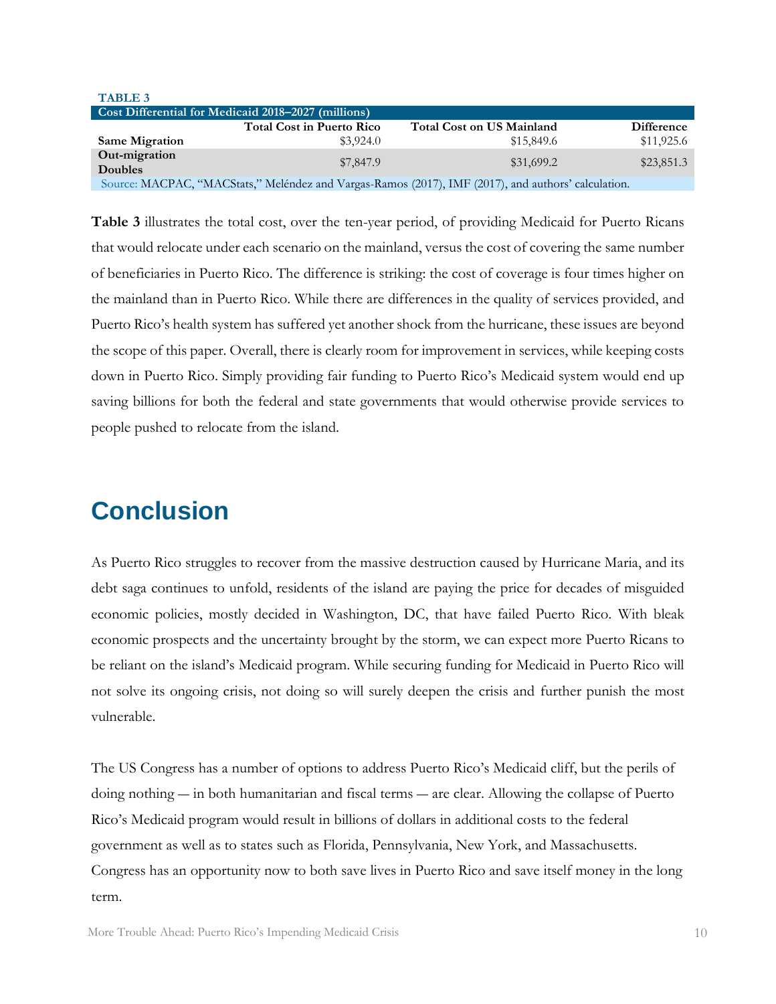| <b>TABLE 3</b>                                                                                      |                                  |                                  |                   |  |  |  |
|-----------------------------------------------------------------------------------------------------|----------------------------------|----------------------------------|-------------------|--|--|--|
| Cost Differential for Medicaid 2018-2027 (millions)                                                 |                                  |                                  |                   |  |  |  |
|                                                                                                     | <b>Total Cost in Puerto Rico</b> | <b>Total Cost on US Mainland</b> | <b>Difference</b> |  |  |  |
| <b>Same Migration</b>                                                                               | \$3.924.0                        | \$15,849.6                       | \$11,925.6        |  |  |  |
| Out-migration<br><b>Doubles</b>                                                                     | \$7,847.9                        | \$31,699.2                       | \$23,851.3        |  |  |  |
| Source: MACPAC, "MACStats," Meléndez and Vargas-Ramos (2017), IMF (2017), and authors' calculation. |                                  |                                  |                   |  |  |  |

**Table 3** illustrates the total cost, over the ten-year period, of providing Medicaid for Puerto Ricans that would relocate under each scenario on the mainland, versus the cost of covering the same number of beneficiaries in Puerto Rico. The difference is striking: the cost of coverage is four times higher on the mainland than in Puerto Rico. While there are differences in the quality of services provided, and Puerto Rico's health system has suffered yet another shock from the hurricane, these issues are beyond the scope of this paper. Overall, there is clearly room for improvement in services, while keeping costs down in Puerto Rico. Simply providing fair funding to Puerto Rico's Medicaid system would end up saving billions for both the federal and state governments that would otherwise provide services to people pushed to relocate from the island.

#### <span id="page-11-0"></span>**Conclusion**

As Puerto Rico struggles to recover from the massive destruction caused by Hurricane Maria, and its debt saga continues to unfold, residents of the island are paying the price for decades of misguided economic policies, mostly decided in Washington, DC, that have failed Puerto Rico. With bleak economic prospects and the uncertainty brought by the storm, we can expect more Puerto Ricans to be reliant on the island's Medicaid program. While securing funding for Medicaid in Puerto Rico will not solve its ongoing crisis, not doing so will surely deepen the crisis and further punish the most vulnerable.

The US Congress has a number of options to address Puerto Rico's Medicaid cliff, but the perils of doing nothing ― in both humanitarian and fiscal terms ― are clear. Allowing the collapse of Puerto Rico's Medicaid program would result in billions of dollars in additional costs to the federal government as well as to states such as Florida, Pennsylvania, New York, and Massachusetts. Congress has an opportunity now to both save lives in Puerto Rico and save itself money in the long term.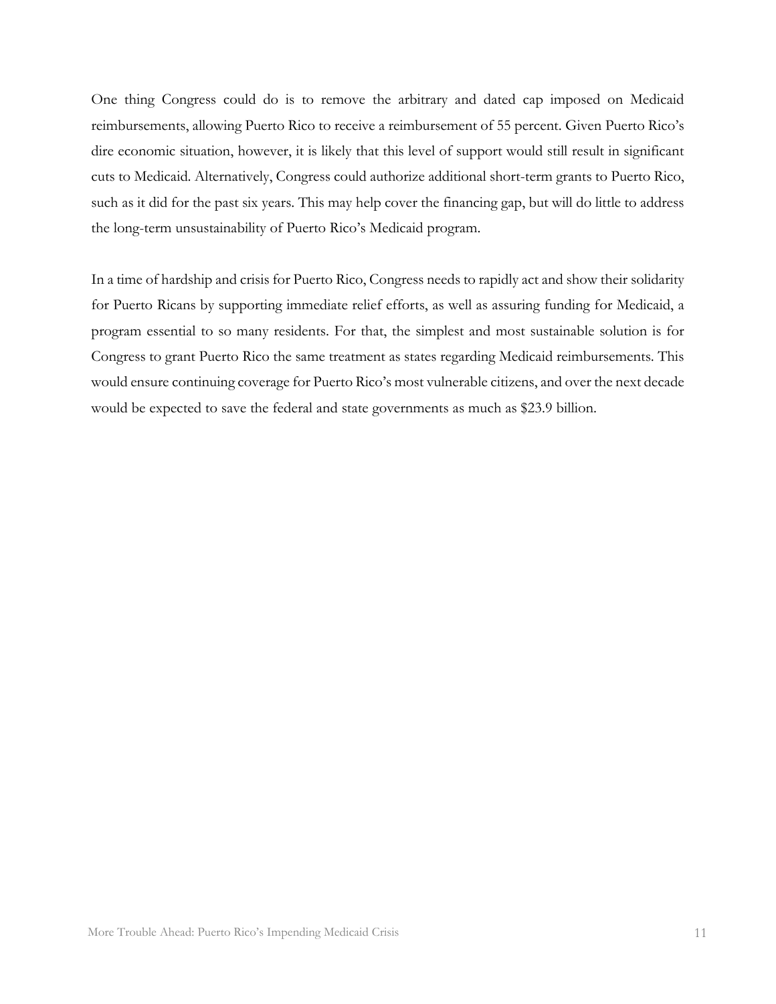One thing Congress could do is to remove the arbitrary and dated cap imposed on Medicaid reimbursements, allowing Puerto Rico to receive a reimbursement of 55 percent. Given Puerto Rico's dire economic situation, however, it is likely that this level of support would still result in significant cuts to Medicaid. Alternatively, Congress could authorize additional short-term grants to Puerto Rico, such as it did for the past six years. This may help cover the financing gap, but will do little to address the long-term unsustainability of Puerto Rico's Medicaid program.

In a time of hardship and crisis for Puerto Rico, Congress needs to rapidly act and show their solidarity for Puerto Ricans by supporting immediate relief efforts, as well as assuring funding for Medicaid, a program essential to so many residents. For that, the simplest and most sustainable solution is for Congress to grant Puerto Rico the same treatment as states regarding Medicaid reimbursements. This would ensure continuing coverage for Puerto Rico's most vulnerable citizens, and over the next decade would be expected to save the federal and state governments as much as \$23.9 billion.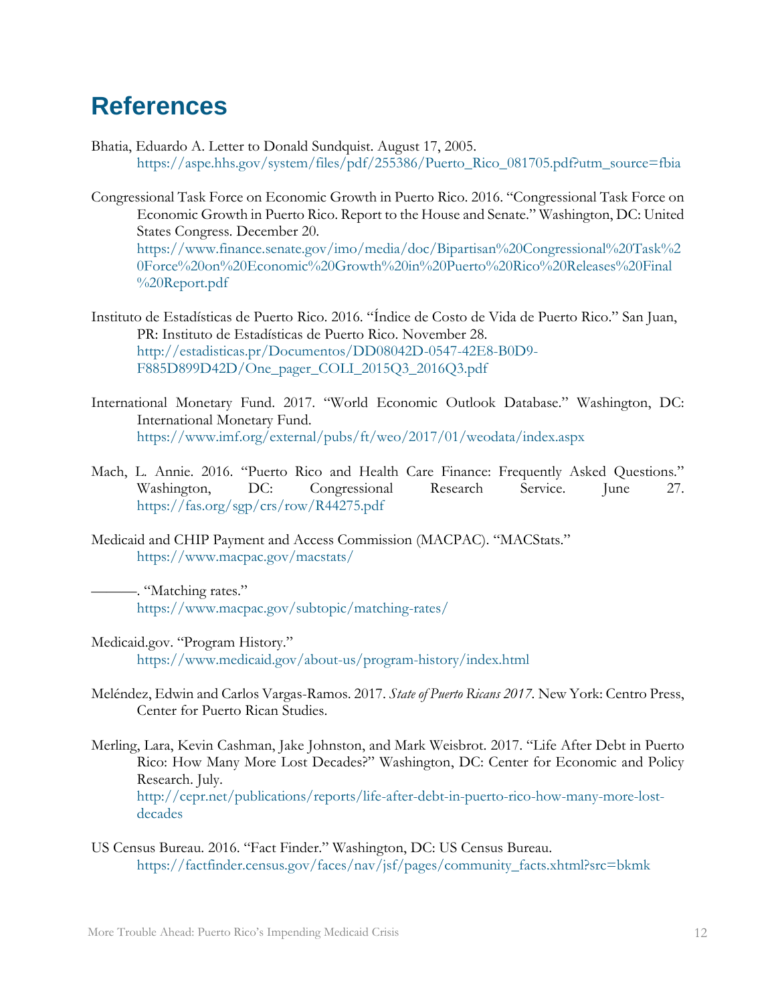#### <span id="page-13-0"></span>**References**

- Bhatia, Eduardo A. Letter to Donald Sundquist. August 17, 2005. [https://aspe.hhs.gov/system/files/pdf/255386/Puerto\\_Rico\\_081705.pdf?utm\\_source=fbia](https://aspe.hhs.gov/system/files/pdf/255386/Puerto_Rico_081705.pdf?utm_source=fbia)
- Congressional Task Force on Economic Growth in Puerto Rico. 2016. "Congressional Task Force on Economic Growth in Puerto Rico. Report to the House and Senate." Washington, DC: United States Congress. December 20. [https://www.finance.senate.gov/imo/media/doc/Bipartisan%20Congressional%20Task%2](https://www.finance.senate.gov/imo/media/doc/Bipartisan%20Congressional%20Task%20Force%20on%20Economic%20Growth%20in%20Puerto%20Rico%20Releases%20Final%20Report.pdf) [0Force%20on%20Economic%20Growth%20in%20Puerto%20Rico%20Releases%20Final](https://www.finance.senate.gov/imo/media/doc/Bipartisan%20Congressional%20Task%20Force%20on%20Economic%20Growth%20in%20Puerto%20Rico%20Releases%20Final%20Report.pdf) [%20Report.pdf](https://www.finance.senate.gov/imo/media/doc/Bipartisan%20Congressional%20Task%20Force%20on%20Economic%20Growth%20in%20Puerto%20Rico%20Releases%20Final%20Report.pdf)
- Instituto de Estadísticas de Puerto Rico. 2016. "Índice de Costo de Vida de Puerto Rico." San Juan, PR: Instituto de Estadísticas de Puerto Rico. November 28. [http://estadisticas.pr/Documentos/DD08042D-0547-42E8-B0D9-](http://estadisticas.pr/Documentos/DD08042D-0547-42E8-B0D9-F885D899D42D/One_pager_COLI_2015Q3_2016Q3.pdf) [F885D899D42D/One\\_pager\\_COLI\\_2015Q3\\_2016Q3.pdf](http://estadisticas.pr/Documentos/DD08042D-0547-42E8-B0D9-F885D899D42D/One_pager_COLI_2015Q3_2016Q3.pdf)
- International Monetary Fund. 2017. "World Economic Outlook Database." Washington, DC: International Monetary Fund. <https://www.imf.org/external/pubs/ft/weo/2017/01/weodata/index.aspx>
- Mach, L. Annie. 2016. "Puerto Rico and Health Care Finance: Frequently Asked Questions." Washington, DC: Congressional Research Service. June 27. <https://fas.org/sgp/crs/row/R44275.pdf>
- Medicaid and CHIP Payment and Access Commission (MACPAC). "MACStats." <https://www.macpac.gov/macstats/>

———. "Matching rates." <https://www.macpac.gov/subtopic/matching-rates/>

- Medicaid.gov. "Program History." <https://www.medicaid.gov/about-us/program-history/index.html>
- Meléndez, Edwin and Carlos Vargas-Ramos. 2017. *State of Puerto Ricans 2017.* New York: Centro Press, Center for Puerto Rican Studies.
- Merling, Lara, Kevin Cashman, Jake Johnston, and Mark Weisbrot. 2017. "Life After Debt in Puerto Rico: How Many More Lost Decades?" Washington, DC: Center for Economic and Policy Research. July. [http://cepr.net/publications/reports/life-after-debt-in-puerto-rico-how-many-more-lost-](http://cepr.net/publications/reports/life-after-debt-in-puerto-rico-how-many-more-lost-decades)

US Census Bureau. 2016. "Fact Finder." Washington, DC: US Census Bureau. [https://factfinder.census.gov/faces/nav/jsf/pages/community\\_facts.xhtml?src=bkmk](https://factfinder.census.gov/faces/nav/jsf/pages/community_facts.xhtml?src=bkmk)

[decades](http://cepr.net/publications/reports/life-after-debt-in-puerto-rico-how-many-more-lost-decades)